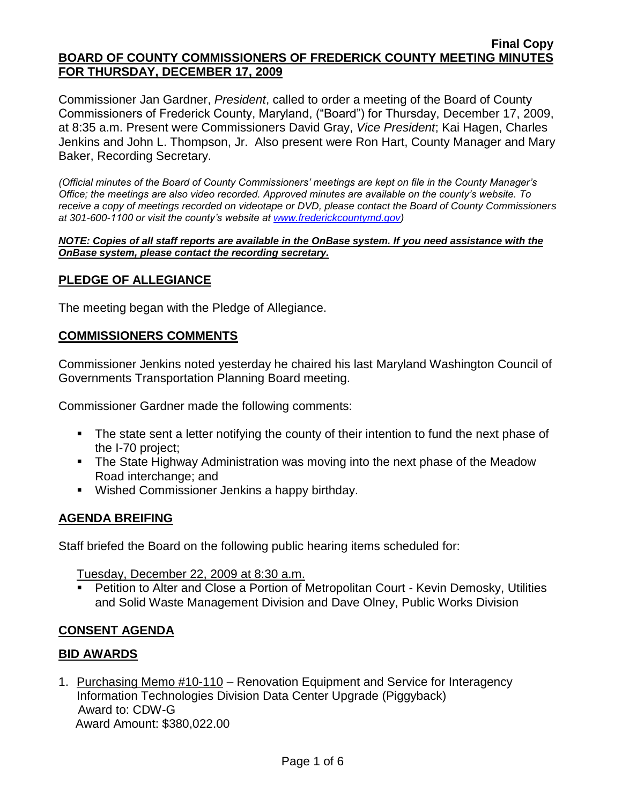Commissioner Jan Gardner, *President*, called to order a meeting of the Board of County Commissioners of Frederick County, Maryland, ("Board") for Thursday, December 17, 2009, at 8:35 a.m. Present were Commissioners David Gray, *Vice President*; Kai Hagen, Charles Jenkins and John L. Thompson, Jr. Also present were Ron Hart, County Manager and Mary Baker, Recording Secretary.

*(Official minutes of the Board of County Commissioners' meetings are kept on file in the County Manager's Office; the meetings are also video recorded. Approved minutes are available on the county's website. To receive a copy of meetings recorded on videotape or DVD, please contact the Board of County Commissioners at 301-600-1100 or visit the county's website at [www.frederickcountymd.gov\)](file:\\NT1S5\BOCC\BOCC\BOCC%20Minutes\Mary)*

#### *NOTE: Copies of all staff reports are available in the OnBase system. If you need assistance with the OnBase system, please contact the recording secretary.*

### **PLEDGE OF ALLEGIANCE**

The meeting began with the Pledge of Allegiance.

#### **COMMISSIONERS COMMENTS**

Commissioner Jenkins noted yesterday he chaired his last Maryland Washington Council of Governments Transportation Planning Board meeting.

Commissioner Gardner made the following comments:

- The state sent a letter notifying the county of their intention to fund the next phase of the I-70 project;
- **The State Highway Administration was moving into the next phase of the Meadow** Road interchange; and
- Wished Commissioner Jenkins a happy birthday.

#### **AGENDA BREIFING**

Staff briefed the Board on the following public hearing items scheduled for:

Tuesday, December 22, 2009 at 8:30 a.m.

 Petition to Alter and Close a Portion of Metropolitan Court - Kevin Demosky, Utilities and Solid Waste Management Division and Dave Olney, Public Works Division

#### **CONSENT AGENDA**

#### **BID AWARDS**

1. Purchasing Memo #10-110 – Renovation Equipment and Service for Interagency Information Technologies Division Data Center Upgrade (Piggyback) Award to: CDW-G Award Amount: \$380,022.00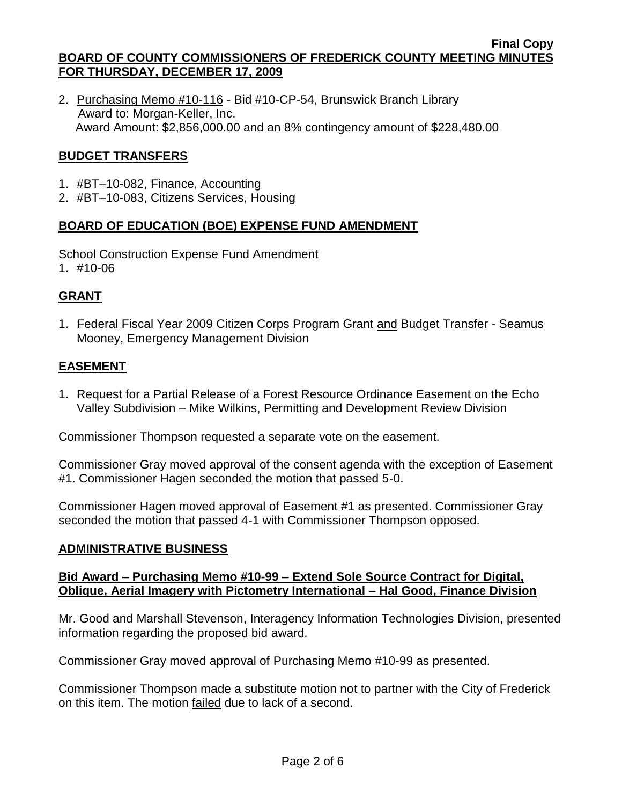2. Purchasing Memo #10-116 - Bid #10-CP-54, Brunswick Branch Library Award to: Morgan-Keller, Inc. Award Amount: \$2,856,000.00 and an 8% contingency amount of \$228,480.00

## **BUDGET TRANSFERS**

- 1. #BT–10-082, Finance, Accounting
- 2. #BT–10-083, Citizens Services, Housing

# **BOARD OF EDUCATION (BOE) EXPENSE FUND AMENDMENT**

#### School Construction Expense Fund Amendment

1. #10-06

# **GRANT**

1. Federal Fiscal Year 2009 Citizen Corps Program Grant and Budget Transfer - Seamus Mooney, Emergency Management Division

# **EASEMENT**

1. Request for a Partial Release of a Forest Resource Ordinance Easement on the Echo Valley Subdivision – Mike Wilkins, Permitting and Development Review Division

Commissioner Thompson requested a separate vote on the easement.

Commissioner Gray moved approval of the consent agenda with the exception of Easement #1. Commissioner Hagen seconded the motion that passed 5-0.

Commissioner Hagen moved approval of Easement #1 as presented. Commissioner Gray seconded the motion that passed 4-1 with Commissioner Thompson opposed.

# **ADMINISTRATIVE BUSINESS**

#### **Bid Award – Purchasing Memo #10-99 – Extend Sole Source Contract for Digital, Oblique, Aerial Imagery with Pictometry International – Hal Good, Finance Division**

Mr. Good and Marshall Stevenson, Interagency Information Technologies Division, presented information regarding the proposed bid award.

Commissioner Gray moved approval of Purchasing Memo #10-99 as presented.

Commissioner Thompson made a substitute motion not to partner with the City of Frederick on this item. The motion failed due to lack of a second.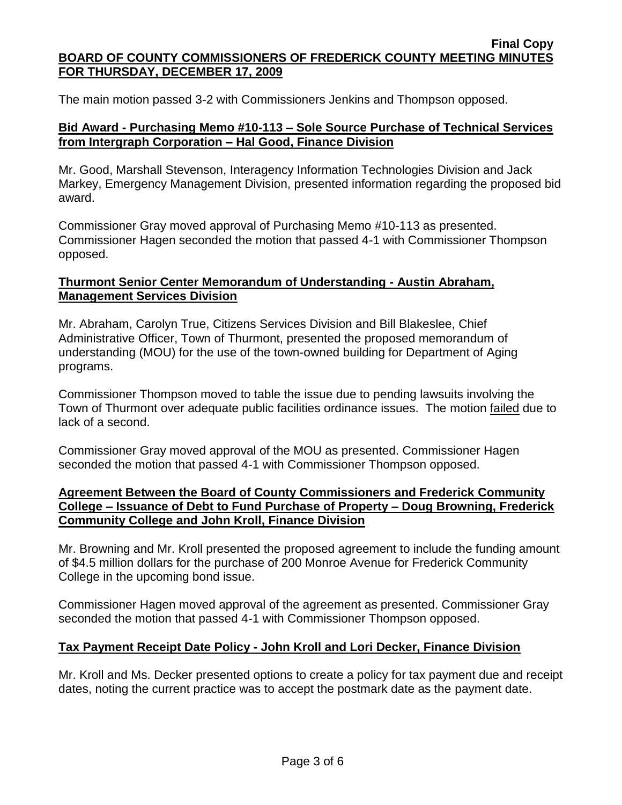The main motion passed 3-2 with Commissioners Jenkins and Thompson opposed.

### **Bid Award - Purchasing Memo #10-113 – Sole Source Purchase of Technical Services from Intergraph Corporation – Hal Good, Finance Division**

Mr. Good, Marshall Stevenson, Interagency Information Technologies Division and Jack Markey, Emergency Management Division, presented information regarding the proposed bid award.

Commissioner Gray moved approval of Purchasing Memo #10-113 as presented. Commissioner Hagen seconded the motion that passed 4-1 with Commissioner Thompson opposed.

### **Thurmont Senior Center Memorandum of Understanding - Austin Abraham, Management Services Division**

Mr. Abraham, Carolyn True, Citizens Services Division and Bill Blakeslee, Chief Administrative Officer, Town of Thurmont, presented the proposed memorandum of understanding (MOU) for the use of the town-owned building for Department of Aging programs.

Commissioner Thompson moved to table the issue due to pending lawsuits involving the Town of Thurmont over adequate public facilities ordinance issues. The motion failed due to lack of a second.

Commissioner Gray moved approval of the MOU as presented. Commissioner Hagen seconded the motion that passed 4-1 with Commissioner Thompson opposed.

### **Agreement Between the Board of County Commissioners and Frederick Community College – Issuance of Debt to Fund Purchase of Property – Doug Browning, Frederick Community College and John Kroll, Finance Division**

Mr. Browning and Mr. Kroll presented the proposed agreement to include the funding amount of \$4.5 million dollars for the purchase of 200 Monroe Avenue for Frederick Community College in the upcoming bond issue.

Commissioner Hagen moved approval of the agreement as presented. Commissioner Gray seconded the motion that passed 4-1 with Commissioner Thompson opposed.

#### **Tax Payment Receipt Date Policy - John Kroll and Lori Decker, Finance Division**

Mr. Kroll and Ms. Decker presented options to create a policy for tax payment due and receipt dates, noting the current practice was to accept the postmark date as the payment date.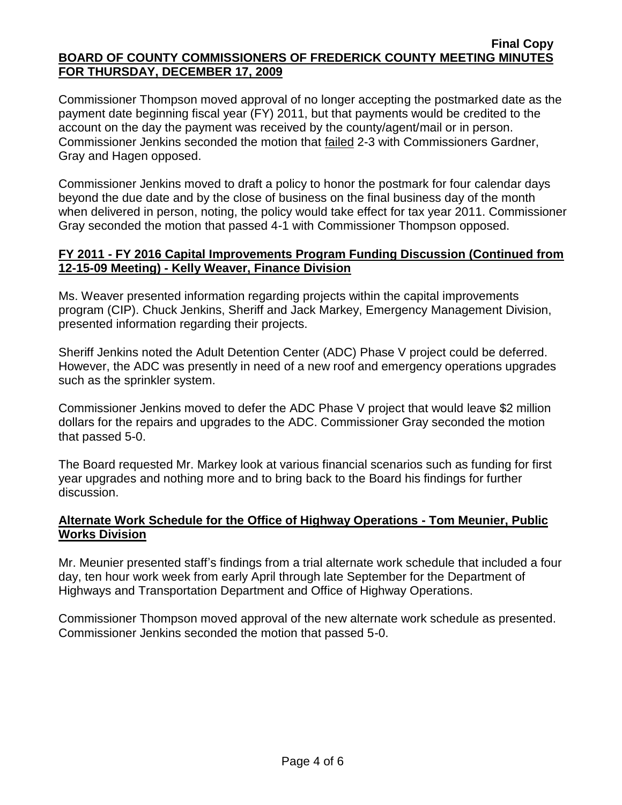Commissioner Thompson moved approval of no longer accepting the postmarked date as the payment date beginning fiscal year (FY) 2011, but that payments would be credited to the account on the day the payment was received by the county/agent/mail or in person. Commissioner Jenkins seconded the motion that failed 2-3 with Commissioners Gardner, Gray and Hagen opposed.

Commissioner Jenkins moved to draft a policy to honor the postmark for four calendar days beyond the due date and by the close of business on the final business day of the month when delivered in person, noting, the policy would take effect for tax year 2011. Commissioner Gray seconded the motion that passed 4-1 with Commissioner Thompson opposed.

### **FY 2011 - FY 2016 Capital Improvements Program Funding Discussion (Continued from 12-15-09 Meeting) - Kelly Weaver, Finance Division**

Ms. Weaver presented information regarding projects within the capital improvements program (CIP). Chuck Jenkins, Sheriff and Jack Markey, Emergency Management Division, presented information regarding their projects.

Sheriff Jenkins noted the Adult Detention Center (ADC) Phase V project could be deferred. However, the ADC was presently in need of a new roof and emergency operations upgrades such as the sprinkler system.

Commissioner Jenkins moved to defer the ADC Phase V project that would leave \$2 million dollars for the repairs and upgrades to the ADC. Commissioner Gray seconded the motion that passed 5-0.

The Board requested Mr. Markey look at various financial scenarios such as funding for first year upgrades and nothing more and to bring back to the Board his findings for further discussion.

### **Alternate Work Schedule for the Office of Highway Operations - Tom Meunier, Public Works Division**

Mr. Meunier presented staff's findings from a trial alternate work schedule that included a four day, ten hour work week from early April through late September for the Department of Highways and Transportation Department and Office of Highway Operations.

Commissioner Thompson moved approval of the new alternate work schedule as presented. Commissioner Jenkins seconded the motion that passed 5-0.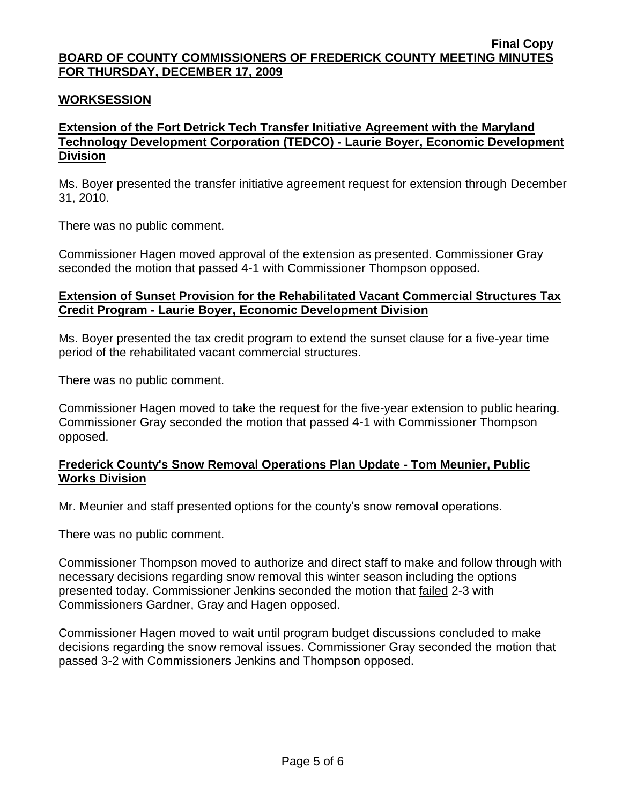### **WORKSESSION**

### **Extension of the Fort Detrick Tech Transfer Initiative Agreement with the Maryland Technology Development Corporation (TEDCO) - Laurie Boyer, Economic Development Division**

Ms. Boyer presented the transfer initiative agreement request for extension through December 31, 2010.

There was no public comment.

Commissioner Hagen moved approval of the extension as presented. Commissioner Gray seconded the motion that passed 4-1 with Commissioner Thompson opposed.

#### **Extension of Sunset Provision for the Rehabilitated Vacant Commercial Structures Tax Credit Program - Laurie Boyer, Economic Development Division**

Ms. Boyer presented the tax credit program to extend the sunset clause for a five-year time period of the rehabilitated vacant commercial structures.

There was no public comment.

Commissioner Hagen moved to take the request for the five-year extension to public hearing. Commissioner Gray seconded the motion that passed 4-1 with Commissioner Thompson opposed.

#### **Frederick County's Snow Removal Operations Plan Update - Tom Meunier, Public Works Division**

Mr. Meunier and staff presented options for the county's snow removal operations.

There was no public comment.

Commissioner Thompson moved to authorize and direct staff to make and follow through with necessary decisions regarding snow removal this winter season including the options presented today. Commissioner Jenkins seconded the motion that failed 2-3 with Commissioners Gardner, Gray and Hagen opposed.

Commissioner Hagen moved to wait until program budget discussions concluded to make decisions regarding the snow removal issues. Commissioner Gray seconded the motion that passed 3-2 with Commissioners Jenkins and Thompson opposed.